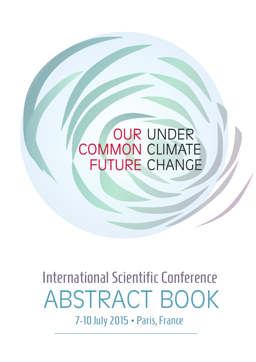# **OUR UNDER COMMON CLIMATE FUTURE CHANGE**

ABSTRACT BOOK **International Scientific Conference** 7-10 July 2015 • Paris, France